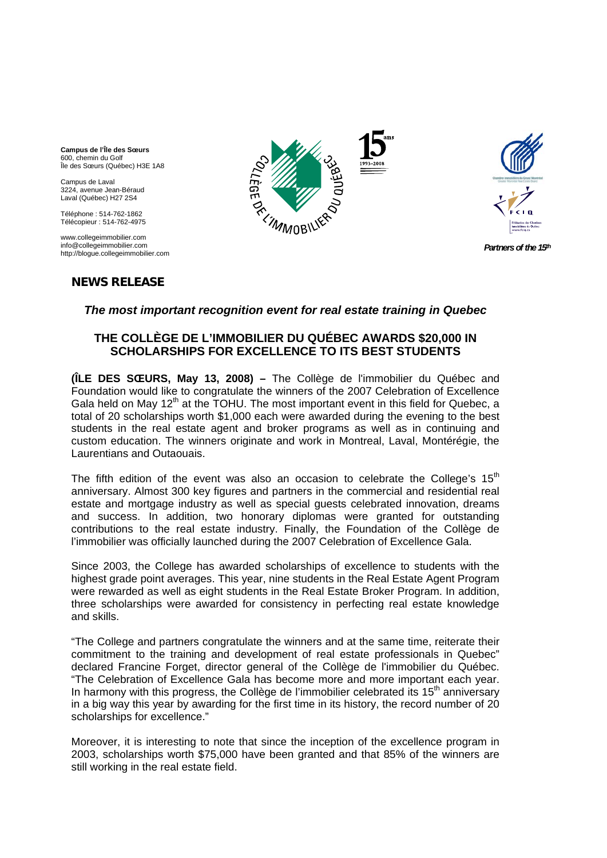**Campus de l'Île des Sœurs**  600, chemin du Golf Île des Sœurs (Québec) H3E 1A8

Campus de Laval 3224, avenue Jean-Béraud Laval (Québec) H27 2S4

Téléphone : 514-762-1862 Télécopieur : 514-762-4975

 www.collegeimmobilier.com info@collegeimmobilier.com http://blogue.collegeimmobilier.com

# **NEWS RELEASE**





*Partners of the 15th* 

# *The most important recognition event for real estate training in Quebec*

# **THE COLLÈGE DE L'IMMOBILIER DU QUÉBEC AWARDS \$20,000 IN SCHOLARSHIPS FOR EXCELLENCE TO ITS BEST STUDENTS**

**(ÎLE DES SŒURS, May 13, 2008) –** The Collège de l'immobilier du Québec and Foundation would like to congratulate the winners of the 2007 Celebration of Excellence Gala held on May  $12<sup>th</sup>$  at the TOHU. The most important event in this field for Quebec, a total of 20 scholarships worth \$1,000 each were awarded during the evening to the best students in the real estate agent and broker programs as well as in continuing and custom education. The winners originate and work in Montreal, Laval, Montérégie, the Laurentians and Outaouais.

The fifth edition of the event was also an occasion to celebrate the College's  $15<sup>th</sup>$ anniversary. Almost 300 key figures and partners in the commercial and residential real estate and mortgage industry as well as special guests celebrated innovation, dreams and success. In addition, two honorary diplomas were granted for outstanding contributions to the real estate industry. Finally, the Foundation of the Collège de l'immobilier was officially launched during the 2007 Celebration of Excellence Gala.

Since 2003, the College has awarded scholarships of excellence to students with the highest grade point averages. This year, nine students in the Real Estate Agent Program were rewarded as well as eight students in the Real Estate Broker Program. In addition, three scholarships were awarded for consistency in perfecting real estate knowledge and skills.

"The College and partners congratulate the winners and at the same time, reiterate their commitment to the training and development of real estate professionals in Quebec" declared Francine Forget, director general of the Collège de l'immobilier du Québec. "The Celebration of Excellence Gala has become more and more important each year. In harmony with this progress, the Collège de l'immobilier celebrated its  $15<sup>th</sup>$  anniversary in a big way this year by awarding for the first time in its history, the record number of 20 scholarships for excellence."

Moreover, it is interesting to note that since the inception of the excellence program in 2003, scholarships worth \$75,000 have been granted and that 85% of the winners are still working in the real estate field.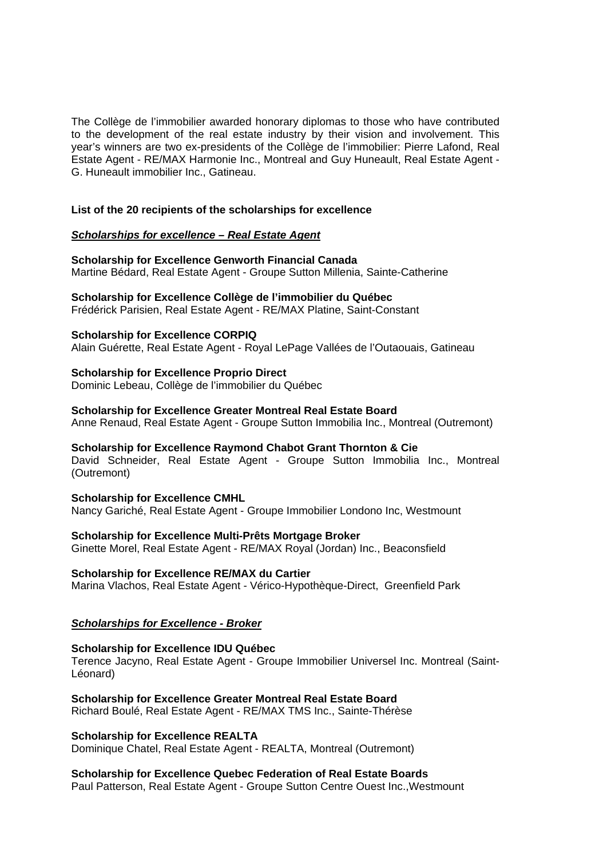The Collège de l'immobilier awarded honorary diplomas to those who have contributed to the development of the real estate industry by their vision and involvement. This year's winners are two ex-presidents of the Collège de l'immobilier: Pierre Lafond, Real Estate Agent - RE/MAX Harmonie Inc., Montreal and Guy Huneault, Real Estate Agent - G. Huneault immobilier Inc., Gatineau.

## **List of the 20 recipients of the scholarships for excellence**

## *Scholarships for excellence – Real Estate Agent*

**Scholarship for Excellence Genworth Financial Canada**  Martine Bédard, Real Estate Agent - Groupe Sutton Millenia, Sainte-Catherine

# **Scholarship for Excellence Collège de l'immobilier du Québec**

Frédérick Parisien, Real Estate Agent - RE/MAX Platine, Saint-Constant

## **Scholarship for Excellence CORPIQ**

Alain Guérette, Real Estate Agent - Royal LePage Vallées de l'Outaouais, Gatineau

## **Scholarship for Excellence Proprio Direct**

Dominic Lebeau, Collège de l'immobilier du Québec

## **Scholarship for Excellence Greater Montreal Real Estate Board**

Anne Renaud, Real Estate Agent - Groupe Sutton Immobilia Inc., Montreal (Outremont)

## **Scholarship for Excellence Raymond Chabot Grant Thornton & Cie**

David Schneider, Real Estate Agent - Groupe Sutton Immobilia Inc., Montreal (Outremont)

**Scholarship for Excellence CMHL**  Nancy Gariché, Real Estate Agent - Groupe Immobilier Londono Inc, Westmount

# **Scholarship for Excellence Multi-Prêts Mortgage Broker**

Ginette Morel, Real Estate Agent - RE/MAX Royal (Jordan) Inc., Beaconsfield

## **Scholarship for Excellence RE/MAX du Cartier**

Marina Vlachos, Real Estate Agent - Vérico-Hypothèque-Direct, Greenfield Park

## *Scholarships for Excellence - Broker*

## **Scholarship for Excellence IDU Québec**

Terence Jacyno, Real Estate Agent - Groupe Immobilier Universel Inc. Montreal (Saint-Léonard)

**Scholarship for Excellence Greater Montreal Real Estate Board**  Richard Boulé, Real Estate Agent - RE/MAX TMS Inc., Sainte-Thérèse

## **Scholarship for Excellence REALTA**

Dominique Chatel, Real Estate Agent - REALTA, Montreal (Outremont)

**Scholarship for Excellence Quebec Federation of Real Estate Boards** Paul Patterson, Real Estate Agent - Groupe Sutton Centre Ouest Inc.,Westmount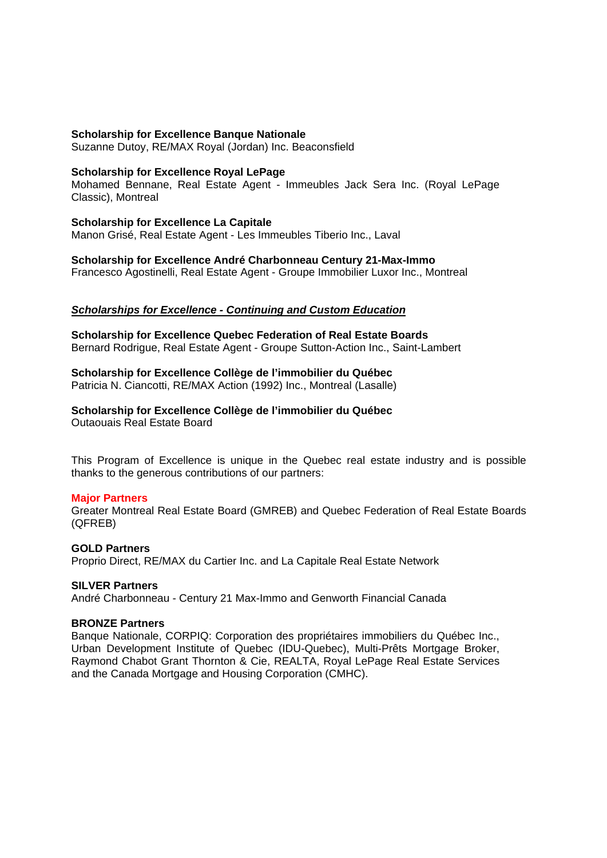#### **Scholarship for Excellence Banque Nationale**

Suzanne Dutoy, RE/MAX Royal (Jordan) Inc. Beaconsfield

#### **Scholarship for Excellence Royal LePage**

Mohamed Bennane, Real Estate Agent - Immeubles Jack Sera Inc. (Royal LePage Classic), Montreal

#### **Scholarship for Excellence La Capitale**

Manon Grisé, Real Estate Agent - Les Immeubles Tiberio Inc., Laval

**Scholarship for Excellence André Charbonneau Century 21-Max-Immo** 

Francesco Agostinelli, Real Estate Agent - Groupe Immobilier Luxor Inc., Montreal

## *Scholarships for Excellence - Continuing and Custom Education*

**Scholarship for Excellence Quebec Federation of Real Estate Boards**  Bernard Rodrigue, Real Estate Agent - Groupe Sutton-Action Inc., Saint-Lambert

## **Scholarship for Excellence Collège de l'immobilier du Québec**

Patricia N. Ciancotti, RE/MAX Action (1992) Inc., Montreal (Lasalle)

# **Scholarship for Excellence Collège de l'immobilier du Québec**

Outaouais Real Estate Board

This Program of Excellence is unique in the Quebec real estate industry and is possible thanks to the generous contributions of our partners:

## **Major Partners**

Greater Montreal Real Estate Board (GMREB) and Quebec Federation of Real Estate Boards (QFREB)

## **GOLD Partners**

Proprio Direct, RE/MAX du Cartier Inc. and La Capitale Real Estate Network

#### **SILVER Partners**

André Charbonneau - Century 21 Max-Immo and Genworth Financial Canada

#### **BRONZE Partners**

Banque Nationale, CORPIQ: Corporation des propriétaires immobiliers du Québec Inc., Urban Development Institute of Quebec (IDU-Quebec), Multi-Prêts Mortgage Broker, Raymond Chabot Grant Thornton & Cie, REALTA, Royal LePage Real Estate Services and the Canada Mortgage and Housing Corporation (CMHC).